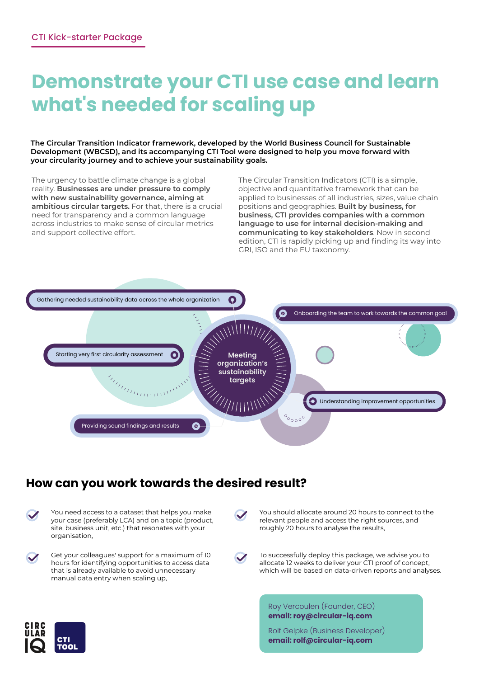## **Demonstrate your CTI use case and learn what's needed for scaling up**

**The Circular Transition Indicator framework, developed by the World Business Council for Sustainable Development (WBCSD), and its accompanying CTI Tool were designed to help you move forward with your circularity journey and to achieve your sustainability goals.** 

The urgency to battle climate change is a global reality. **Businesses are under pressure to comply with new sustainability governance, aiming at ambitious circular targets.** For that, there is a crucial need for transparency and a common language across industries to make sense of circular metrics and support collective effort.

The Circular Transition Indicators (CTI) is a simple, objective and quantitative framework that can be applied to businesses of all industries, sizes, value chain positions and geographies. **Built by business, for business, CTI provides companies with a common language to use for internal decision-making and communicating to key stakeholders**. Now in second edition, CTI is rapidly picking up and finding its way into GRI, ISO and the EU taxonomy.



#### **How can you work towards the desired result?**

| $\blacktriangledown$ | You need access to a dataset that helps you make<br>your case (preferably LCA) and on a topic (product,<br>site, business unit, etc.) that resonates with your |
|----------------------|----------------------------------------------------------------------------------------------------------------------------------------------------------------|
|                      | organisation,                                                                                                                                                  |

manual data entry when scaling up,



Get your colleagues' support for a maximum of 10 hours for identifying opportunities to access data that is already available to avoid unnecessary



You should allocate around 20 hours to connect to the relevant people and access the right sources, and roughly 20 hours to analyse the results,

To successfully deploy this package, we advise you to allocate 12 weeks to deliver your CTI proof of concept, which will be based on data-driven reports and analyses.

Roy Vercoulen (Founder, CEO) **email: roy@circular-iq.com**



Rolf Gelpke (Business Developer) **email: rolf@circular-iq.com**